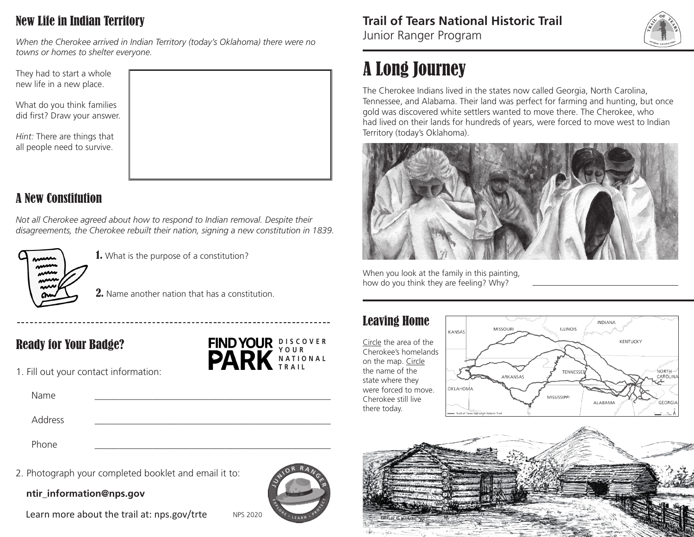# New Life in Indian Territory

*When the Cherokee arrived in Indian Territory (today's Oklahoma) there were no towns or homes to shelter everyone.* 

They had to start a whole new life in a new place.

What do you think families did first? Draw your answer.

*Hint:* There are things that all people need to survive.



# A New Constitution

*Not all Cherokee agreed about how to respond to Indian removal. Despite their disagreements, the Cherokee rebuilt their nation, signing a new constitution in 1839.*



**1.** What is the purpose of a constitution?

2. Name another nation that has a constitution.

## Ready for Your Badge?

1. Fill out your contact information:

Name \_\_\_\_\_\_\_\_\_\_\_\_\_\_\_\_\_\_\_\_\_\_\_\_\_\_\_\_\_\_\_\_\_\_\_\_\_\_\_\_\_\_\_\_\_\_\_\_\_ **N A T I O N A L TRAIL**

Address \_\_\_\_\_\_\_\_\_\_\_\_\_\_\_\_\_\_\_\_\_\_\_\_\_\_\_\_\_\_\_\_\_\_\_\_\_\_\_\_\_\_\_\_\_\_\_\_\_

Phone \_\_\_\_\_\_\_\_\_\_\_\_\_\_\_\_\_\_\_\_\_\_\_\_\_\_\_\_\_\_\_\_\_\_\_\_\_\_\_\_\_\_\_\_\_\_\_\_\_

2. Photograph your completed booklet and email it to:

**ntir\_information@nps.gov**

Learn more about the trail at: nps.gov/trte NPS 2020



**D I S C O V E R Y O U R** 

#### **Trail of Tears National Historic Trail**

Junior Ranger Program



# A Long Journey

The Cherokee Indians lived in the states now called Georgia, North Carolina, Tennessee, and Alabama. Their land was perfect for farming and hunting, but once gold was discovered white settlers wanted to move there. The Cherokee, who had lived on their lands for hundreds of years, were forced to move west to Indian Territory (today's Oklahoma).



When you look at the family in this painting, how do you think they are feeling? Why?

### Leaving Home

Circle the area of the Cherokee's homelands on the map. Circle the name of the state where they were forced to move. Cherokee still live there today.